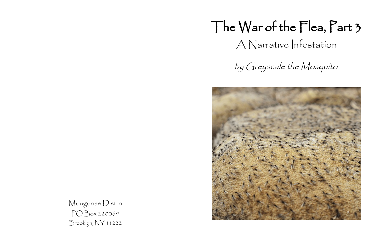## The War of the Flea, Part 3 A Narrative Infestation





by Greyscale the Mosquito

Mongoose Distro PO Box 220069 Brooklyn, NY 11222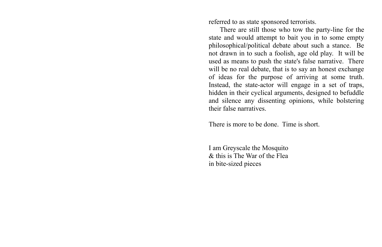referred to as state sponsored terrorists.

There are still those who tow the party-line for the state and would attempt to bait you in to some empty philosophical/political debate about such a stance. Be not drawn in to such a foolish, age old play. It will be used as means to push the state's false narrative. There will be no real debate, that is to say an honest exchange of ideas for the purpose of arriving at some truth. Instead, the state-actor will engage in a set of traps, hidden in their cyclical arguments, designed to befuddle and silence any dissenting opinions, while bolstering their false narratives.

There is more to be done. Time is short.

I am Greyscale the Mosquito & this is The War of the Flea in bite-sized pieces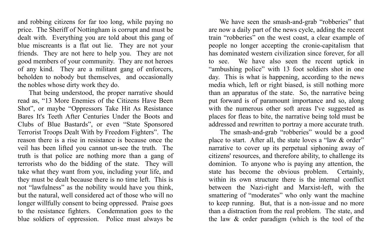We have seen the smash-and-grab "robberies" that are now a daily part of the news cycle, adding the recent train "robberies" on the west coast, a clear example of people no longer accepting the cronie-capitalism that has dominated western civilization since forever, for all to see. We have also seen the recent uptick in "ambushing police" with 13 foot soldiers shot in one day. This is what is happening, according to the news media which, left or right biased, is still nothing more than an apparatus of the state. So, the narrative being put forward is of paramount importance and so, along with the numerous other soft areas I've suggested as places for fleas to bite, the narrative being told must be addressed and rewritten to portray a more accurate truth. The smash-and-grab "robberies" would be a good place to start. After all, the state loves a "law & order" narrative to cover up its perpetual siphoning away of citizens' resources, and therefore ability, to challenge its dominion. To anyone who is paying any attention, the state has become the obvious problem. Certainly, within its own structure there is the internal conflict between the Nazi-right and Marxist-left, with the smattering of "moderates" who only want the machine to keep running. But, that is a non-issue and no more than a distraction from the real problem. The state, and

the law & order paradigm (which is the tool of the

and robbing citizens for far too long, while paying no price. The Sheriff of Nottingham is corrupt and must be dealt with. Everything you are told about this gang of blue miscreants is a flat out lie. They are not your friends. They are not here to help you. They are not good members of your community. They are not heroes of any kind. They are a militant gang of enforcers, beholden to nobody but themselves, and occasionally the nobles whose dirty work they do.

That being understood, the proper narrative should read as, "13 More Enemies of the Citizens Have Been Shot", or maybe "Oppressors Take Hit As Resistance Bares It's Teeth After Centuries Under the Boots and Clubs of Blue Bastards", or even "State Sponsored Terrorist Troops Dealt With by Freedom Fighters". The reason there is a rise in resistance is because once the veil has been lifted you cannot un-see the truth. The truth is that police are nothing more than a gang of terrorists who do the bidding of the state. They will take what they want from you, including your life, and they must be dealt because there is no time left. This is not "lawfulness" as the nobility would have you think, but the natural, well considered act of those who will no longer willfully consent to being oppressed. Praise goes to the resistance fighters. Condemnation goes to the blue soldiers of oppression. Police must always be